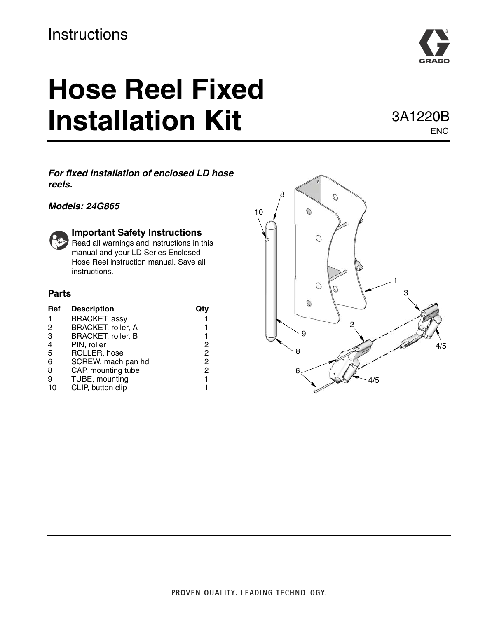#### **Instructions**

## **Hose Reel Fixed Installation Kit** 3A1220B

ENG

#### *For fixed installation of enclosed LD hose reels.*

#### *Models: 24G865*



#### **Important Safety Instructions**

Read all warnings and instructions in this manual and your LD Series Enclosed Hose Reel instruction manual. Save all instructions.

#### **Parts**

| Ref            | <b>Description</b>   |   |
|----------------|----------------------|---|
|                | <b>BRACKET, assy</b> |   |
| 2              | BRACKET, roller, A   |   |
| 3              | BRACKET, roller, B   |   |
| $\overline{4}$ | PIN, roller          | 2 |
| 5              | ROLLER, hose         | 2 |
| 6              | SCREW, mach pan hd   | 2 |
| 8              | CAP, mounting tube   | 2 |
| 9              | TUBE, mounting       | 1 |
| 10             | CLIP, button clip    |   |

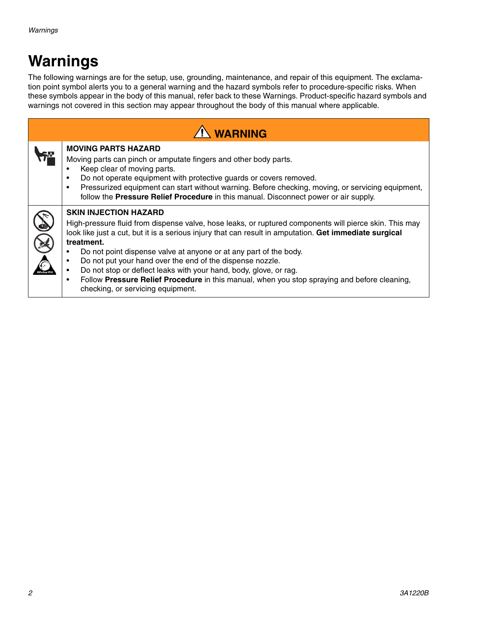## **Warnings**

The following warnings are for the setup, use, grounding, maintenance, and repair of this equipment. The exclamation point symbol alerts you to a general warning and the hazard symbols refer to procedure-specific risks. When these symbols appear in the body of this manual, refer back to these Warnings. Product-specific hazard symbols and warnings not covered in this section may appear throughout the body of this manual where applicable.

| <b>A</b> WARNING |                                                                                                                                                                                                                                                                                                                                                                                                                                                                                                                                                                                                            |  |
|------------------|------------------------------------------------------------------------------------------------------------------------------------------------------------------------------------------------------------------------------------------------------------------------------------------------------------------------------------------------------------------------------------------------------------------------------------------------------------------------------------------------------------------------------------------------------------------------------------------------------------|--|
|                  | <b>MOVING PARTS HAZARD</b><br>Moving parts can pinch or amputate fingers and other body parts.<br>Keep clear of moving parts.<br>Do not operate equipment with protective guards or covers removed.<br>Pressurized equipment can start without warning. Before checking, moving, or servicing equipment,<br>$\bullet$<br>follow the Pressure Relief Procedure in this manual. Disconnect power or air supply.                                                                                                                                                                                              |  |
|                  | <b>SKIN INJECTION HAZARD</b><br>High-pressure fluid from dispense valve, hose leaks, or ruptured components will pierce skin. This may<br>look like just a cut, but it is a serious injury that can result in amputation. Get immediate surgical<br>treatment.<br>Do not point dispense valve at anyone or at any part of the body.<br>Do not put your hand over the end of the dispense nozzle.<br>Do not stop or deflect leaks with your hand, body, glove, or rag.<br>Follow Pressure Relief Procedure in this manual, when you stop spraying and before cleaning,<br>checking, or servicing equipment. |  |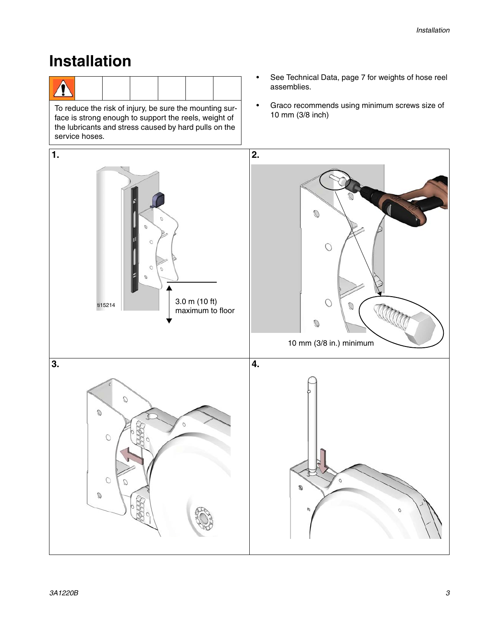#### **Installation**

|--|

To reduce the risk of injury, be sure the mounting sur-<br>face is strong enough to support the reels, weight of face is strong enough to support the reels, weight of the lubricants and stress caused by hard pulls on the service hoses.

- See Technical Data, page [7](#page-6-0) for weights of hose reel assemblies.
- Graco recommends using minimum screws size of

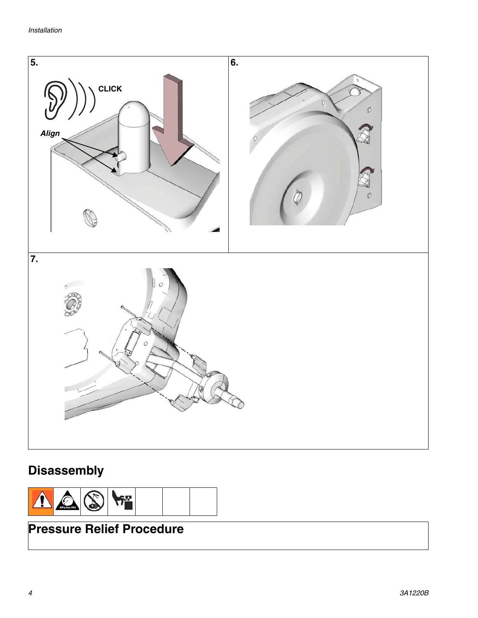

#### **Disassembly**



#### **Pressure Relief Procedure**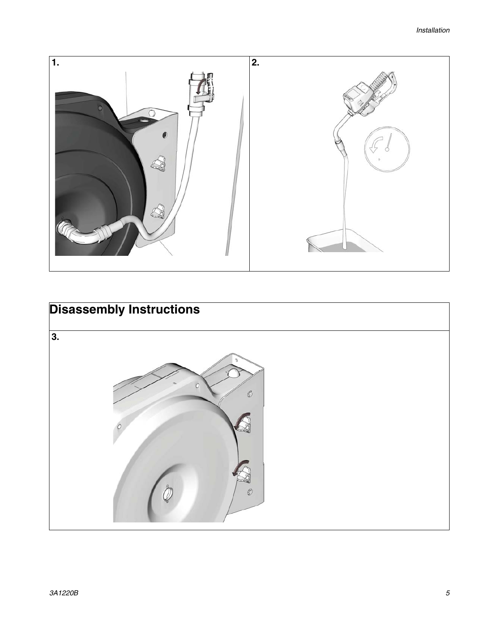

# **Disassembly Instructions 3.** $\mathcal{O}$ Ó  $\circledB$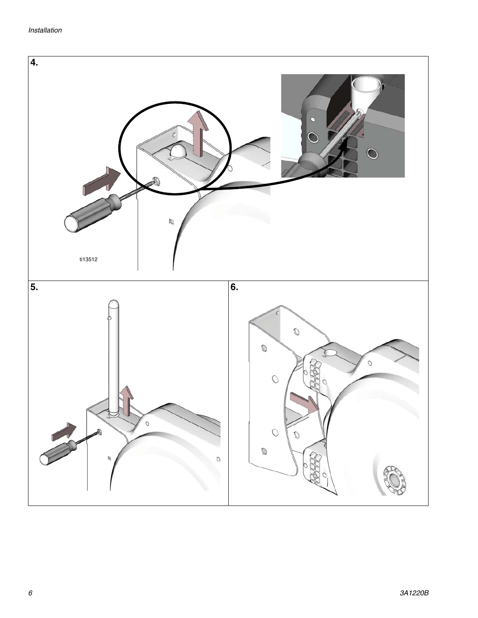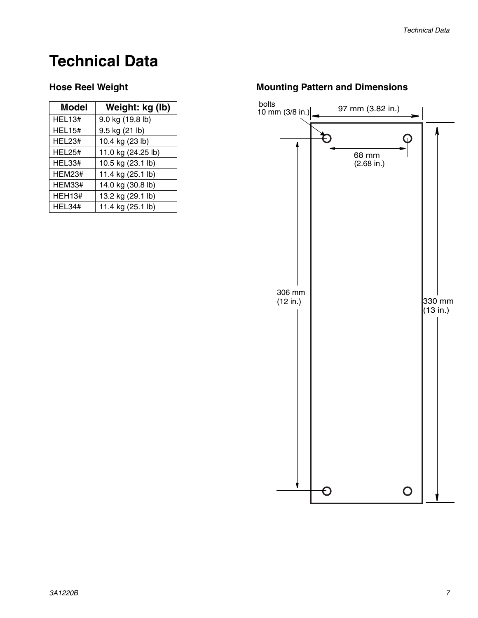### <span id="page-6-0"></span>**Technical Data**

| <b>Model</b>  | Weight: kg (lb)    |
|---------------|--------------------|
| <b>HEL13#</b> | 9.0 kg (19.8 lb)   |
| <b>HEL15#</b> | 9.5 kg (21 lb)     |
| HEL23#        | 10.4 kg (23 lb)    |
| <b>HEL25#</b> | 11.0 kg (24.25 lb) |
| HEL33#        | 10.5 kg (23.1 lb)  |
| <b>HEM23#</b> | 11.4 kg (25.1 lb)  |
| <b>HEM33#</b> | 14.0 kg (30.8 lb)  |
| <b>HEH13#</b> | 13.2 kg (29.1 lb)  |
| HEL34#        | 11.4 kg (25.1 lb)  |

#### Hose Reel Weight **Mounting Pattern and Dimensions**